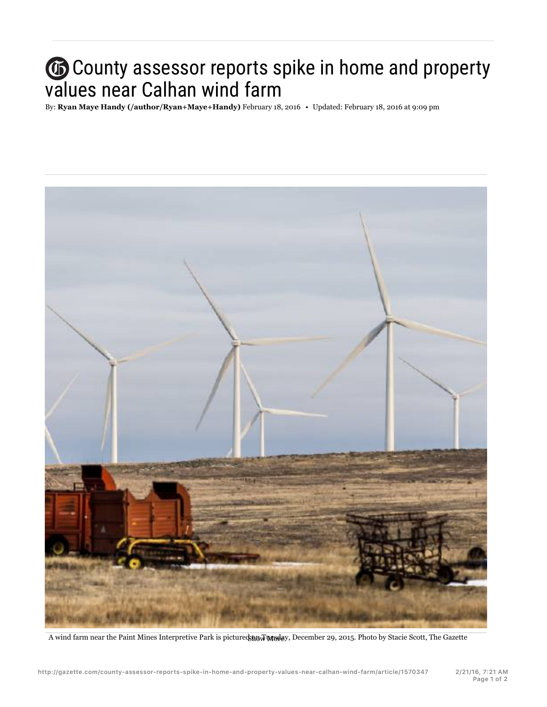## County assessor reports spike in home and property values near Calhan wind farm

By: **Ryan Maye Handy (/author/Ryan+Maye+Handy)** February 18, 2016 • Updated: February 18, 2016 at 9:09 pm



A wind farm near the Paint Mines Interpretive Park is pictured on Tuesday, December 29, 2015. Photo by Stacie Scott, The Gazette